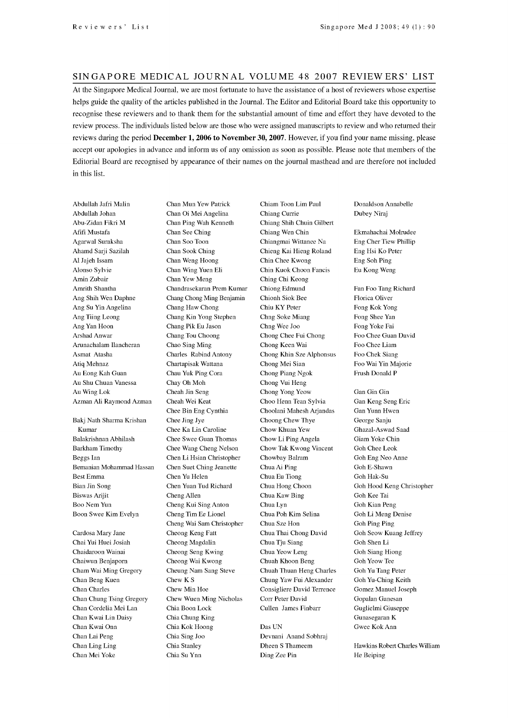## SINGAPORE MEDICAL JOURNAL VOLUME 48 2007 REVIEW ERS' LIST

At the Singapore Medical Journal, we are most fortunate to have the assistance of a host of reviewers whose expertise helps guide the quality of the articles published in the Journal. The Editor and Editorial Board take this opportunity to recognise these reviewers and to thank them for the substantial amount of time and effort they have devoted to the review process. The individuals listed below are those who were assigned manuscripts to review and who returned their reviews during the period December 1, 2006 to November 30, 2007. However, if you find your name missing, please accept our apologies in advance and inform us of any omission as soon as possible. Please note that members of the Editorial Board are recognised by appearance of their names on the journal masthead and are therefore not included in this list.

Abdullah Jafri Malin Abdullah Johan Abu-Zidan Fikri M Afifi Mustafa Agarwal Suraksha Ahamd Sarji Sazilah Al Jajeh Issam Alonso Sylvie Amin Zubair Amrith Shantha Ang Shih Wen Daphne Ang Su Yin Angelina Ang Tiing Leong Ang Yan Hoon Arshad Anwar Arunachalam Ilancheran Asmat Atasha Atiq Mehnaz Au Eong Kah Guan Au Shu Chuan Vanessa Au Wing Lok Azman Ali Raymond Azman Bakj Nath Sharma Krishan Kumar Balakrishnan Abhilash Barkham Timothy Beggs Ian Bemanian Mohammad Hassan Best Emma Bian Jin Song Biswas Arijit Boo Nem Yun Boon Swee Kim Evelyn Cardosa Mary Jane Chai Yui Huei Josiah

Chaidaroon Wainai Chaiwun Benjaporn Cham Wai Ming Gregory Chan Beng Kuen Chan Charles Chan Chung Tsing Gregory Chan Cordelia Mei Lan Chan Kwai Lin Daisy Chan Kwai Onn Chan Lai Peng Chan Ling Ling Chan Mei Yoke

Chan Mun Yew Patrick Chan Oi Mei Angelina Chan Ping Wah Kenneth Chan See Ching Chan Soo Toon Chan Sook Ching Chan Weng Hoong Chan Wing Yuen Eli Chan Yew Meng Chandrasekaran Prem Kumar Chang Chong Ming Benjamin Chang Haw Chong Chang Kin Yong Stephen Chang Pik Eu Jason Chang Tou Choong Chao Sing Ming Charles Rabind Antony Chartapisak Wattana Chau Yuk Ping Cora Chay Oh Moh Cheah Jin Seng Cheah Wei Keat Chee Bin Eng Cynthia Chee Jing Jye Chee Ka Lin Caroline Chee Swee Guan Thomas Chee Wang Cheng Nelson Chen Li Hsian Christopher Chen Suet Ching Jeanette Chen Yu Helen Chen Yuan Tud Richard Cheng Allen Cheng Kui Sing Anton Cheng Tim Ee Lionel Cheng Wai Sam Christopher Cheong Keng Fatt Cheong Magdalin Cheong Seng Kwing Cheong Wai Kwong Cheung Nam Sang Steve Chew K S Chew Min Hoe Chew Wuen Ming Nicholas Chia Boon Lock Chia Chung King Chia Kok Hoong Chia Sing Joo Chia Stanley Chia Su Ynn

Chiam Toon Lim Paul Chiang Currie Chiang Shih Chuin Gilbert Chiang Wen Chin Chiangmai Wittanee Na Chieng Kai Hieng Roland Chin Chee Kwong Chin Kuok Choon Fancis Ching Chi Keong Chiong Edmund Chionh Siok Bee Chiu KY Peter Chng Soke Miang Chng Wee Joo Chong Chee Fui Chong Chong Keen Wai Chong Khin Sze Alphonsus Chong Mei Sian Chong Piang Ngok Chong Vui Heng Chong Yong Yeow Choo Henn Tean Sylvia Choolani Mahesh Arjandas Choong Chew Thye Chow Khuan Yew Chow Li Ping Angela Chow Tak Kwong Vincent Chowbay Balram Chua Ai Ping Chua Eu Tiong Chua Hong Choon Chua Kaw Bing Chua Lyn Chua Poh Kim Selina Chua Sze Hon Chua Thai Chong David Chua Tju Siang Chua Yeow Leng Chuah Khoon Beng Chuah Thum Heng Charles Chung Yaw Fui Alexander Consigliere David Terrence Corr Peter David Cullen James Finbarr Das UN

Devnani Anand Sobhraj Dheen S Thameem Ding Zee Pin

Donaldson Annabelle Dubey Niraj

Ekmahachai Molrudee Eng Cher Tiew Phillip Eng Hsi Ko Peter Eng Soh Ping Eu Kong Weng

Fan Foo Tang Richard Florica Oliver Fong Kok Yong Fong Shee Yan Fong Yoke Fai Foo Chee Guan David Foo Chee Liam Foo Chek Siang Foo Wai Yin Majorie Frush Donald P

Gan Gin Gin Gan Keng Seng Eric Gan Yunn Hwen George Sanju Ghazal-Aswad Saad Giam Yoke Chin Goh Chee Leok Goh Eng Neo Anne Goh E-Shawn Goh Hak -Su Goh Hood Keng Christopher Goh Kee Tai Goh Kian Peng Goh Li Meng Denise Goh Ping Ping Goh Seow Kuang Jeffrey Goh Shen Li Goh Siang Hiong Goh Yeow Tee Goh Yu Tang Peter Goh Yu -Ching Keith Gomez Manuel Joseph Gopalan Ganesan Guglielmi Giuseppe Gunasegaran K Gwee Kok Ann

Hawkins Robert Charles William He Beiping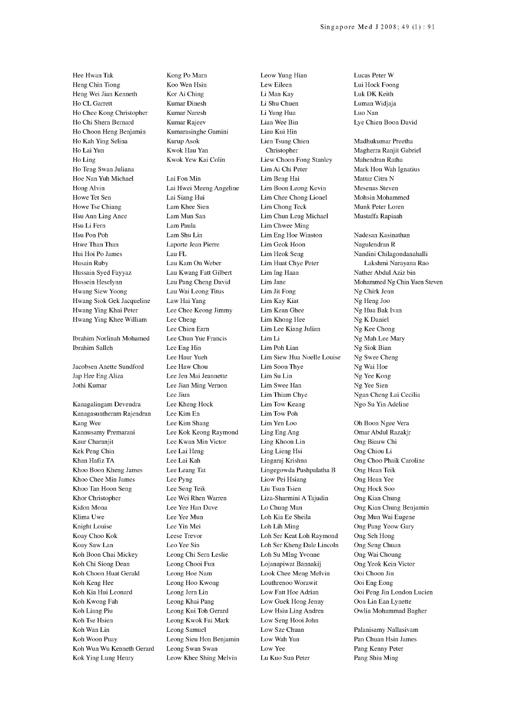Hee Hwan Tak Heng Chin Tiong Heng Wei Jian Kenneth Ho CL Garrett Ho Chee Kong Christopher Ho Chi Shern Bernard Ho Choon Heng Benjamin Ho Kah Ying Selina Ho Lai Yun Ho Ling Ho Teng Swan Juliana Hoe Nan Yuh Michael Hong Alvin Howe Tet Sen Howe Tse Chiang Hsu Ann Ling Anee Hsu Li Fern Hsu Pon Poh Htwe Than Than Hui Hoi Po James Husain Ruby Hussain Syed Fayyaz Hussein Heselynn Hwang Siew Yoong Hwang Siok Gek Jacqueline Hwang Ying Khai Peter Hwang Ying Khee William

Ibrahim Norlinah Mohamed Ibrahim Salleh

Jacobsen Anette Sundford Jap Hee Eng Aliza Jothi Kumar

Kanagalingam Devendra Kanagasuntheram Rajendran Kang Wee Kannusamy Premarani Kaur Charanjit Kek Peng Chin Khan Hafiz TA Khoo Boon Kheng James Khoo Chee Min James Khoo Tan Hoon Seng Khor Christopher Kidon Mona Klima Uwe Knight Louise Koay Choo Kok Koay Saw Lan Koh Boon Chai Mickey Koh Chi Siong Dean Koh Choon Huat Gerald Koh Keng Hee Koh Kia Hui Leonard Koh Kwong Fah Koh Liang Piu Koh Tse Hsien Koh Wan Lin Koh Woon Puay Koh Wun Wu Kenneth Gerard Kok Ying Lung Henry

Kong Po Marn Koo Wen Hsin Kor Ai Ching Kumar Dinesh Kumar Naresh Kumar Rajeev Kumarasinghe Gamini Kurup Asok Kwok Hau Yan Kwok Yew Kai Colin

Lai Fon Min Lai Hwei Meeng Angeline Lai Siang Hui Lam Khee Sien Lam Mun San Lam Paula Lam Shu Lin Laporte Jean Pierre Lau FL Lau Kam On Weber Lau Kwang Fatt Gilbert Lau Pang Cheng David Lau Wai Leong Titus Law Hai Yang Lee Chee Keong Jimmy Lee Cheng Lee Chien Earn Lee Chun Yue Francis Lee Eng Hin Lee Haur Yueh Lee Haw Chou Lee Jen Mai Jeannette Lee Jian Ming Vernon Lee Jiun Lee Kheng Hock Lee Kim En Lee Kim Shang Lee Kok Keong Raymond Lee Kwan Min Victor Lee Lai Heng Lee Lai Kah Lee Leang Tat Lee Pyng Lee Seng Teik Lee Wei Rhen Warren Lee Yee Han Dave Lee Yee Mun Lee Yin Mei Leese Trevor Leo Yee Sin Leong Chi Sern Leslie Leong Chooi Fun Leong Hoe Nam Leong Hoo Kwong Leong Jern Lin Leong Khai Pang Leong Kui Toh Gerard Leong Kwok Fai Mark Leong Samuel Leong Sieu Hon Benjamin Leong Swan Swan Leow Khee Shing Melvin

Leow Yung Hian Lew Eileen Li Man Kay Li Shu Chuen Li Yung Hua Lian Wee Bin Liau Kui Hin Lien Tsung Chien Christopher Liew Choon Fong Stanley Lim Ai Chi Peter Lim Beng Hai Lim Boon Leong Kevin Lim Chee Chong Lionel Lim Chong Teck Lim Chun Leng Michael Lim Chwee Ming Lim Eng Hoe Winston Lim Geok Hoon Lim Heok Seng Lim Huat Chye Peter Lim Ing Haan Lim Jane Lim Jit Fong Lim Kay Kiat Lim Kean Ghee Lim Khong Hee Lim Lee Kiang Julian Lim Li Lim Poh Lian Lim Siew Hua Noelle Louise Lim Soon Thye Lim Su Lin Lim Swee Han Lim Thiam Chye Lim Tow Keang Lim Tow Poh Lim Yen Loo Ling Eng Ang Ling Khoon Lin Ling Lieng Hsi Lingaraj Krishna Lingegowda Pushpalatha B Liow Pei Hsiang Liu Tsun Tsien Liza-Sharmini A Tajudin Lo Chung Man Loh Kia Ee Sheila Loh Lih Ming Loh Ser Keat Loh Raymond Loh Ser Kheng Dale Lincoln Loh Su MIng Yvonne Lojanapiwat Bannakij Look Chee Meng Melvin Louthrenoo Worawit Low Fatt Hoe Adrian Low Guek Hong Jenny Low Hsiu Ling Andrea Low Seng Hooi John Low Sze Chuan Low Wah Yun Low Yee Lu Kuo Sun Peter

Lucas Peter W Lui Hock Foong Luk DK Keith Luman Widjaja Luo Nan Lye Chien Boon David Madhukumar Preetha Magherra Ranjit Gabriel Mahendran Ratha Mark Hon Wah Ignatius Mattar Citra N Mesenas Steven Mohsin Mohammed Munk Peter Loren Mustaffa Rapiaah Nadesan Kasinathan Nagulendran R Nandini Chilagondanahalli Lakshmi Narayana Rao Nather Abdul Aziz bin Mohammed Ng Chin Yuen Steven Ng Chirk Jenn Ng Heng Joo Ng Hua Bak Ivan Ng K Daniel Ng Kee Chong Ng Mah Lee Mary Ng Siok Bian Ng Swee Cheng Ng Wai Hoe Ng Yee Kong Ng Yee Sien Ngan Cheng Lai Cecilia Ngo Su Yin Adeline Oh Boon Ngee Vera Omar Abdul Razakjr Ong Biauw Chi Ong Chiou Li Ong Choo Phaik Caroline Ong Hean Teik Ong Hean Yee

Ong Hock Soo Ong Kian Chung Ong Kian Chung Benjamin Ong Mun Wai Eugene Ong Pang Yeow Gary Ong Seh Hong Ong Seng Chuan Ong Wai Choung Ong Yeok Kein Victor Ooi Choon Jin Ooi Eng Eong Ooi Peng Jin London Lucien Oon Lin Ean Lynette Owlia Mohammad Bagher

Palanisamy Nallasivam Pan Chuan Hsin James Pang Kenny Peter Pang Shiu Ming